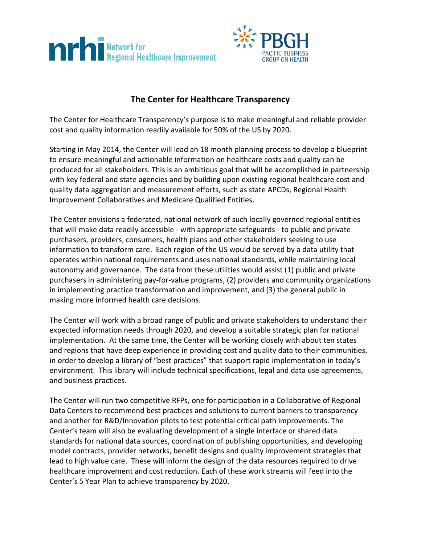



## **The Center for Healthcare Transparency**

The Center for Healthcare Transparency's purpose is to make meaningful and reliable provider cost and quality information readily available for 50% of the US by 2020.

Starting in May 2014, the Center will lead an 18 month planning process to develop a blueprint to ensure meaningful and actionable information on healthcare costs and quality can be produced for all stakeholders. This is an ambitious goal that will be accomplished in partnership with key federal and state agencies and by building upon existing regional healthcare cost and quality data aggregation and measurement efforts, such as state APCDs, Regional Health Improvement Collaboratives and Medicare Qualified Entities.

The Center envisions a federated, national network of such locally governed regional entities that will make data readily accessible - with appropriate safeguards - to public and private purchasers, providers, consumers, health plans and other stakeholders seeking to use information to transform care. Each region of the US would be served by a data utility that operates within national requirements and uses national standards, while maintaining local autonomy and governance. The data from these utilities would assist (1) public and private purchasers in administering pay-for-value programs, (2) providers and community organizations in implementing practice transformation and improvement, and (3) the general public in making more informed health care decisions.

The Center will work with a broad range of public and private stakeholders to understand their expected information needs through 2020, and develop a suitable strategic plan for national implementation. At the same time, the Center will be working closely with about ten states and regions that have deep experience in providing cost and quality data to their communities, in order to develop a library of "best practices" that support rapid implementation in today's environment. This library will include technical specifications, legal and data use agreements, and business practices.

The Center will run two competitive RFPs, one for participation in a Collaborative of Regional Data Centers to recommend best practices and solutions to current barriers to transparency and another for R&D/Innovation pilots to test potential critical path improvements. The Center's team will also be evaluating development of a single interface or shared data standards for national data sources, coordination of publishing opportunities, and developing model contracts, provider networks, benefit designs and quality improvement strategies that lead to high value care. These will inform the design of the data resources required to drive healthcare improvement and cost reduction. Each of these work streams will feed into the Center's 5 Year Plan to achieve transparency by 2020.